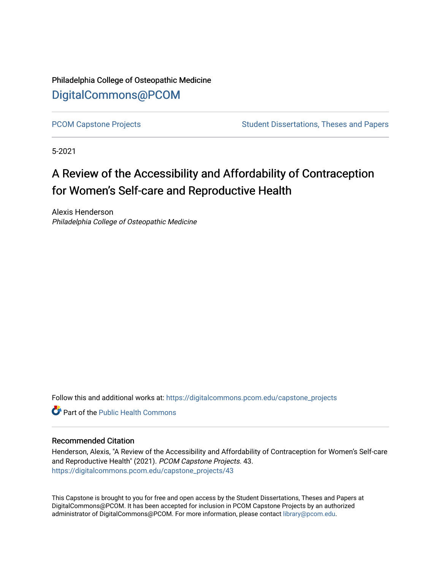Philadelphia College of Osteopathic Medicine [DigitalCommons@PCOM](https://digitalcommons.pcom.edu/) 

[PCOM Capstone Projects](https://digitalcommons.pcom.edu/capstone_projects) **Student Dissertations, Theses and Papers** Student Dissertations, Theses and Papers

5-2021

# A Review of the Accessibility and Affordability of Contraception for Women's Self-care and Reproductive Health

Alexis Henderson Philadelphia College of Osteopathic Medicine

Follow this and additional works at: [https://digitalcommons.pcom.edu/capstone\\_projects](https://digitalcommons.pcom.edu/capstone_projects?utm_source=digitalcommons.pcom.edu%2Fcapstone_projects%2F43&utm_medium=PDF&utm_campaign=PDFCoverPages)

**C** Part of the Public Health Commons

#### Recommended Citation

Henderson, Alexis, "A Review of the Accessibility and Affordability of Contraception for Women's Self-care and Reproductive Health" (2021). PCOM Capstone Projects. 43. [https://digitalcommons.pcom.edu/capstone\\_projects/43](https://digitalcommons.pcom.edu/capstone_projects/43?utm_source=digitalcommons.pcom.edu%2Fcapstone_projects%2F43&utm_medium=PDF&utm_campaign=PDFCoverPages) 

This Capstone is brought to you for free and open access by the Student Dissertations, Theses and Papers at DigitalCommons@PCOM. It has been accepted for inclusion in PCOM Capstone Projects by an authorized administrator of DigitalCommons@PCOM. For more information, please contact [library@pcom.edu.](mailto:library@pcom.edu)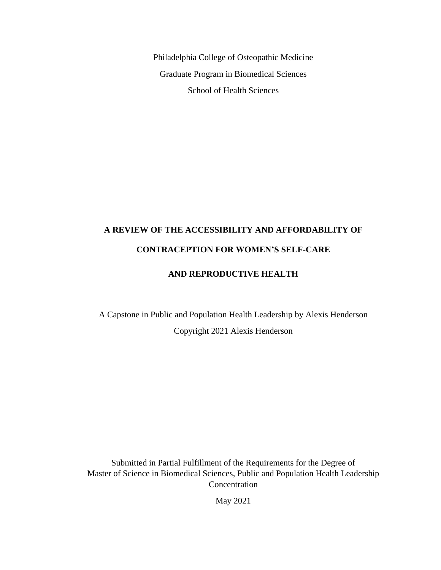Philadelphia College of Osteopathic Medicine Graduate Program in Biomedical Sciences School of Health Sciences

# **A REVIEW OF THE ACCESSIBILITY AND AFFORDABILITY OF CONTRACEPTION FOR WOMEN'S SELF-CARE**

### **AND REPRODUCTIVE HEALTH**

A Capstone in Public and Population Health Leadership by Alexis Henderson Copyright 2021 Alexis Henderson

Submitted in Partial Fulfillment of the Requirements for the Degree of Master of Science in Biomedical Sciences, Public and Population Health Leadership **Concentration** 

May 2021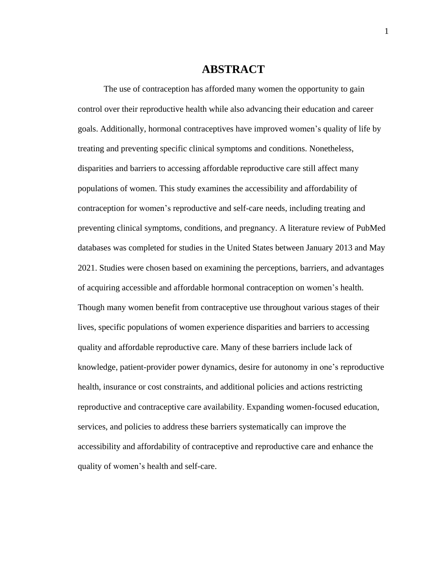## **ABSTRACT**

The use of contraception has afforded many women the opportunity to gain control over their reproductive health while also advancing their education and career goals. Additionally, hormonal contraceptives have improved women's quality of life by treating and preventing specific clinical symptoms and conditions. Nonetheless, disparities and barriers to accessing affordable reproductive care still affect many populations of women. This study examines the accessibility and affordability of contraception for women's reproductive and self-care needs, including treating and preventing clinical symptoms, conditions, and pregnancy. A literature review of PubMed databases was completed for studies in the United States between January 2013 and May 2021. Studies were chosen based on examining the perceptions, barriers, and advantages of acquiring accessible and affordable hormonal contraception on women's health. Though many women benefit from contraceptive use throughout various stages of their lives, specific populations of women experience disparities and barriers to accessing quality and affordable reproductive care. Many of these barriers include lack of knowledge, patient-provider power dynamics, desire for autonomy in one's reproductive health, insurance or cost constraints, and additional policies and actions restricting reproductive and contraceptive care availability. Expanding women-focused education, services, and policies to address these barriers systematically can improve the accessibility and affordability of contraceptive and reproductive care and enhance the quality of women's health and self-care.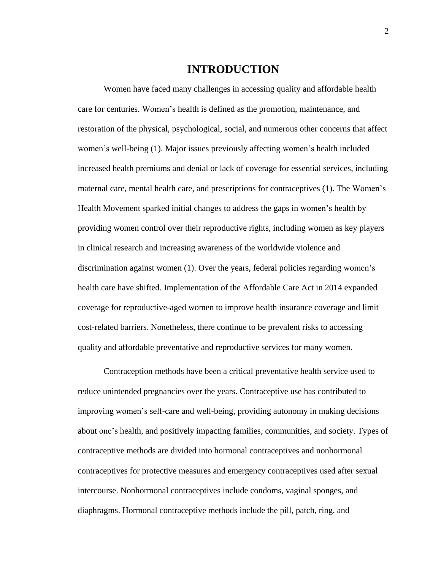## **INTRODUCTION**

Women have faced many challenges in accessing quality and affordable health care for centuries. Women's health is defined as the promotion, maintenance, and restoration of the physical, psychological, social, and numerous other concerns that affect women's well-being (1). Major issues previously affecting women's health included increased health premiums and denial or lack of coverage for essential services, including maternal care, mental health care, and prescriptions for contraceptives (1). The Women's Health Movement sparked initial changes to address the gaps in women's health by providing women control over their reproductive rights, including women as key players in clinical research and increasing awareness of the worldwide violence and discrimination against women (1). Over the years, federal policies regarding women's health care have shifted. Implementation of the Affordable Care Act in 2014 expanded coverage for reproductive-aged women to improve health insurance coverage and limit cost-related barriers. Nonetheless, there continue to be prevalent risks to accessing quality and affordable preventative and reproductive services for many women.

Contraception methods have been a critical preventative health service used to reduce unintended pregnancies over the years. Contraceptive use has contributed to improving women's self-care and well-being, providing autonomy in making decisions about one's health, and positively impacting families, communities, and society. Types of contraceptive methods are divided into hormonal contraceptives and nonhormonal contraceptives for protective measures and emergency contraceptives used after sexual intercourse. Nonhormonal contraceptives include condoms, vaginal sponges, and diaphragms. Hormonal contraceptive methods include the pill, patch, ring, and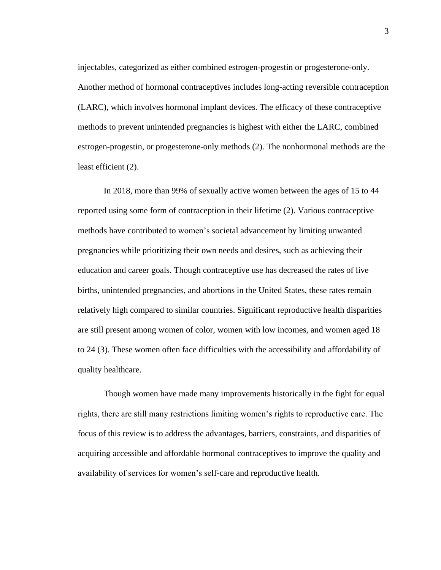injectables, categorized as either combined estrogen-progestin or progesterone-only. Another method of hormonal contraceptives includes long-acting reversible contraception (LARC), which involves hormonal implant devices. The efficacy of these contraceptive methods to prevent unintended pregnancies is highest with either the LARC, combined estrogen-progestin, or progesterone-only methods (2). The nonhormonal methods are the least efficient (2).

In 2018, more than 99% of sexually active women between the ages of 15 to 44 reported using some form of contraception in their lifetime (2). Various contraceptive methods have contributed to women's societal advancement by limiting unwanted pregnancies while prioritizing their own needs and desires, such as achieving their education and career goals. Though contraceptive use has decreased the rates of live births, unintended pregnancies, and abortions in the United States, these rates remain relatively high compared to similar countries. Significant reproductive health disparities are still present among women of color, women with low incomes, and women aged 18 to 24 (3). These women often face difficulties with the accessibility and affordability of quality healthcare.

Though women have made many improvements historically in the fight for equal rights, there are still many restrictions limiting women's rights to reproductive care. The focus of this review is to address the advantages, barriers, constraints, and disparities of acquiring accessible and affordable hormonal contraceptives to improve the quality and availability of services for women's self-care and reproductive health.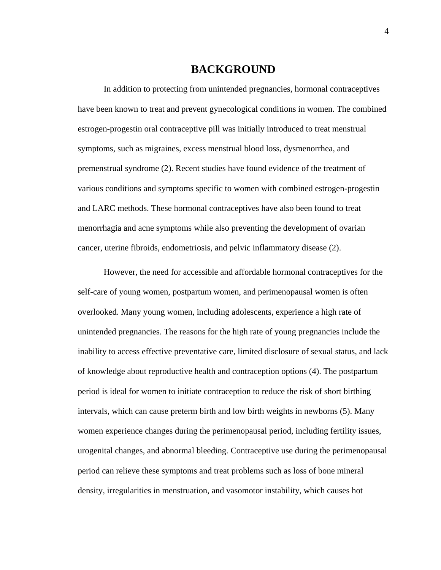## **BACKGROUND**

In addition to protecting from unintended pregnancies, hormonal contraceptives have been known to treat and prevent gynecological conditions in women. The combined estrogen-progestin oral contraceptive pill was initially introduced to treat menstrual symptoms, such as migraines, excess menstrual blood loss, dysmenorrhea, and premenstrual syndrome (2). Recent studies have found evidence of the treatment of various conditions and symptoms specific to women with combined estrogen-progestin and LARC methods. These hormonal contraceptives have also been found to treat menorrhagia and acne symptoms while also preventing the development of ovarian cancer, uterine fibroids, endometriosis, and pelvic inflammatory disease (2).

However, the need for accessible and affordable hormonal contraceptives for the self-care of young women, postpartum women, and perimenopausal women is often overlooked. Many young women, including adolescents, experience a high rate of unintended pregnancies. The reasons for the high rate of young pregnancies include the inability to access effective preventative care, limited disclosure of sexual status, and lack of knowledge about reproductive health and contraception options (4). The postpartum period is ideal for women to initiate contraception to reduce the risk of short birthing intervals, which can cause preterm birth and low birth weights in newborns (5). Many women experience changes during the perimenopausal period, including fertility issues, urogenital changes, and abnormal bleeding. Contraceptive use during the perimenopausal period can relieve these symptoms and treat problems such as loss of bone mineral density, irregularities in menstruation, and vasomotor instability, which causes hot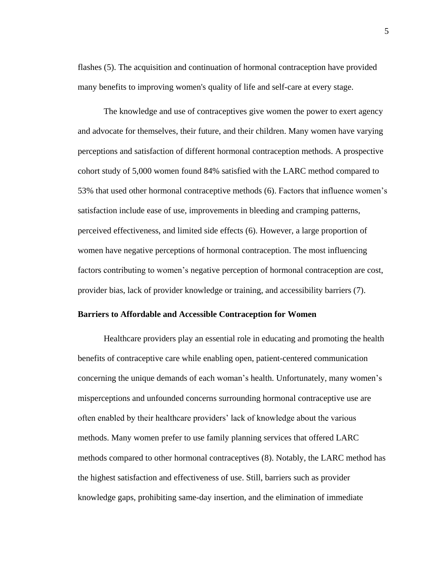flashes (5). The acquisition and continuation of hormonal contraception have provided many benefits to improving women's quality of life and self-care at every stage.

The knowledge and use of contraceptives give women the power to exert agency and advocate for themselves, their future, and their children. Many women have varying perceptions and satisfaction of different hormonal contraception methods. A prospective cohort study of 5,000 women found 84% satisfied with the LARC method compared to 53% that used other hormonal contraceptive methods (6). Factors that influence women's satisfaction include ease of use, improvements in bleeding and cramping patterns, perceived effectiveness, and limited side effects (6). However, a large proportion of women have negative perceptions of hormonal contraception. The most influencing factors contributing to women's negative perception of hormonal contraception are cost, provider bias, lack of provider knowledge or training, and accessibility barriers (7).

#### **Barriers to Affordable and Accessible Contraception for Women**

Healthcare providers play an essential role in educating and promoting the health benefits of contraceptive care while enabling open, patient-centered communication concerning the unique demands of each woman's health. Unfortunately, many women's misperceptions and unfounded concerns surrounding hormonal contraceptive use are often enabled by their healthcare providers' lack of knowledge about the various methods. Many women prefer to use family planning services that offered LARC methods compared to other hormonal contraceptives (8). Notably, the LARC method has the highest satisfaction and effectiveness of use. Still, barriers such as provider knowledge gaps, prohibiting same-day insertion, and the elimination of immediate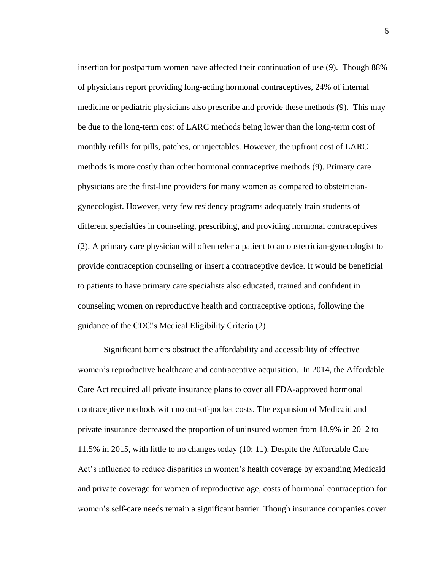insertion for postpartum women have affected their continuation of use (9). Though 88% of physicians report providing long-acting hormonal contraceptives, 24% of internal medicine or pediatric physicians also prescribe and provide these methods (9). This may be due to the long-term cost of LARC methods being lower than the long-term cost of monthly refills for pills, patches, or injectables. However, the upfront cost of LARC methods is more costly than other hormonal contraceptive methods (9). Primary care physicians are the first-line providers for many women as compared to obstetriciangynecologist. However, very few residency programs adequately train students of different specialties in counseling, prescribing, and providing hormonal contraceptives (2). A primary care physician will often refer a patient to an obstetrician-gynecologist to provide contraception counseling or insert a contraceptive device. It would be beneficial to patients to have primary care specialists also educated, trained and confident in counseling women on reproductive health and contraceptive options, following the guidance of the CDC's Medical Eligibility Criteria (2).

Significant barriers obstruct the affordability and accessibility of effective women's reproductive healthcare and contraceptive acquisition. In 2014, the Affordable Care Act required all private insurance plans to cover all FDA-approved hormonal contraceptive methods with no out-of-pocket costs. The expansion of Medicaid and private insurance decreased the proportion of uninsured women from 18.9% in 2012 to 11.5% in 2015, with little to no changes today (10; 11). Despite the Affordable Care Act's influence to reduce disparities in women's health coverage by expanding Medicaid and private coverage for women of reproductive age, costs of hormonal contraception for women's self-care needs remain a significant barrier. Though insurance companies cover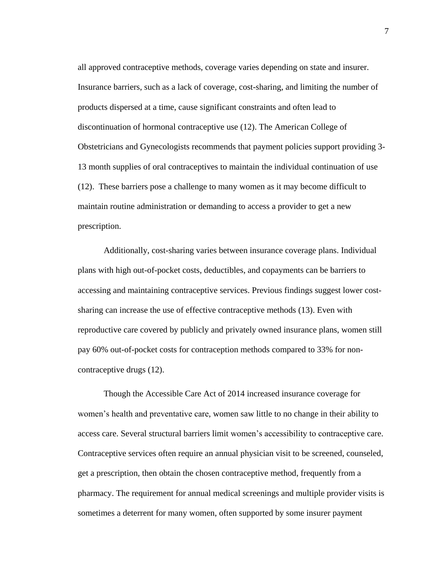all approved contraceptive methods, coverage varies depending on state and insurer. Insurance barriers, such as a lack of coverage, cost-sharing, and limiting the number of products dispersed at a time, cause significant constraints and often lead to discontinuation of hormonal contraceptive use (12). The American College of Obstetricians and Gynecologists recommends that payment policies support providing 3- 13 month supplies of oral contraceptives to maintain the individual continuation of use (12). These barriers pose a challenge to many women as it may become difficult to maintain routine administration or demanding to access a provider to get a new prescription.

Additionally, cost-sharing varies between insurance coverage plans. Individual plans with high out-of-pocket costs, deductibles, and copayments can be barriers to accessing and maintaining contraceptive services. Previous findings suggest lower costsharing can increase the use of effective contraceptive methods (13). Even with reproductive care covered by publicly and privately owned insurance plans, women still pay 60% out-of-pocket costs for contraception methods compared to 33% for noncontraceptive drugs (12).

Though the Accessible Care Act of 2014 increased insurance coverage for women's health and preventative care, women saw little to no change in their ability to access care. Several structural barriers limit women's accessibility to contraceptive care. Contraceptive services often require an annual physician visit to be screened, counseled, get a prescription, then obtain the chosen contraceptive method, frequently from a pharmacy. The requirement for annual medical screenings and multiple provider visits is sometimes a deterrent for many women, often supported by some insurer payment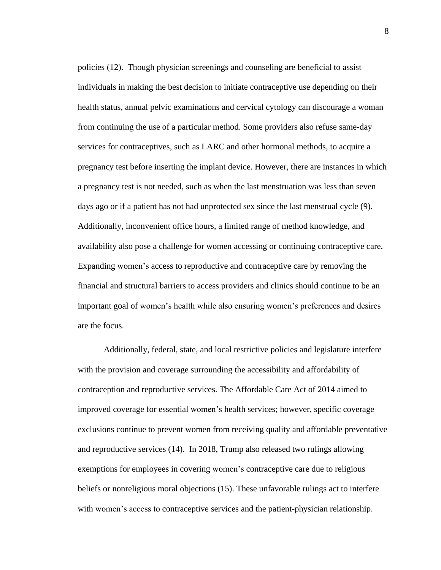policies (12). Though physician screenings and counseling are beneficial to assist individuals in making the best decision to initiate contraceptive use depending on their health status, annual pelvic examinations and cervical cytology can discourage a woman from continuing the use of a particular method. Some providers also refuse same-day services for contraceptives, such as LARC and other hormonal methods, to acquire a pregnancy test before inserting the implant device. However, there are instances in which a pregnancy test is not needed, such as when the last menstruation was less than seven days ago or if a patient has not had unprotected sex since the last menstrual cycle (9). Additionally, inconvenient office hours, a limited range of method knowledge, and availability also pose a challenge for women accessing or continuing contraceptive care. Expanding women's access to reproductive and contraceptive care by removing the financial and structural barriers to access providers and clinics should continue to be an important goal of women's health while also ensuring women's preferences and desires are the focus.

Additionally, federal, state, and local restrictive policies and legislature interfere with the provision and coverage surrounding the accessibility and affordability of contraception and reproductive services. The Affordable Care Act of 2014 aimed to improved coverage for essential women's health services; however, specific coverage exclusions continue to prevent women from receiving quality and affordable preventative and reproductive services (14). In 2018, Trump also released two rulings allowing exemptions for employees in covering women's contraceptive care due to religious beliefs or nonreligious moral objections (15). These unfavorable rulings act to interfere with women's access to contraceptive services and the patient-physician relationship.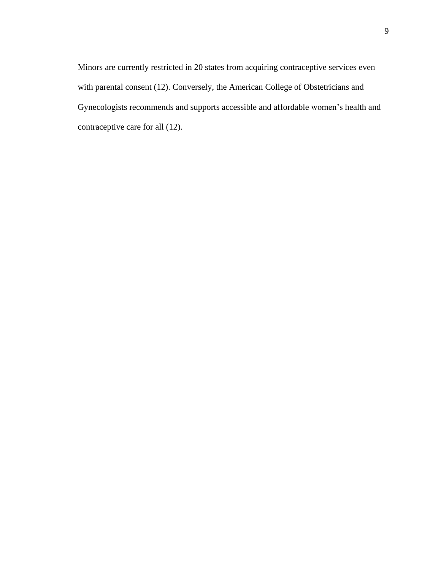Minors are currently restricted in 20 states from acquiring contraceptive services even with parental consent (12). Conversely, the American College of Obstetricians and Gynecologists recommends and supports accessible and affordable women's health and contraceptive care for all (12).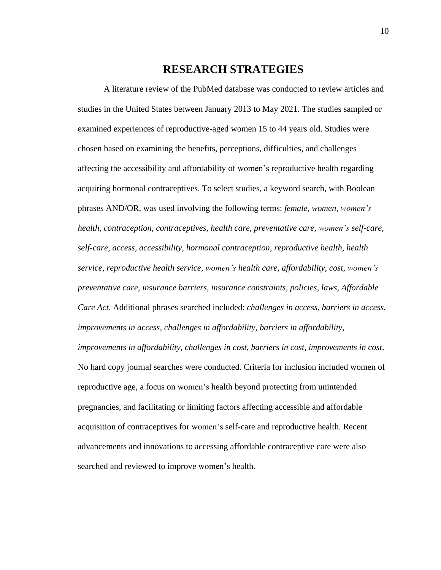## **RESEARCH STRATEGIES**

A literature review of the PubMed database was conducted to review articles and studies in the United States between January 2013 to May 2021. The studies sampled or examined experiences of reproductive-aged women 15 to 44 years old. Studies were chosen based on examining the benefits, perceptions, difficulties, and challenges affecting the accessibility and affordability of women's reproductive health regarding acquiring hormonal contraceptives. To select studies, a keyword search, with Boolean phrases AND/OR, was used involving the following terms: *female, women, women's health, contraception, contraceptives, health care, preventative care, women's self-care, self-care, access, accessibility, hormonal contraception, reproductive health, health service, reproductive health service, women's health care, affordability, cost, women's preventative care, insurance barriers, insurance constraints, policies, laws, Affordable Care Act*. Additional phrases searched included: *challenges in access, barriers in access, improvements in access, challenges in affordability, barriers in affordability, improvements in affordability, challenges in cost, barriers in cost, improvements in cost*. No hard copy journal searches were conducted. Criteria for inclusion included women of reproductive age, a focus on women's health beyond protecting from unintended pregnancies, and facilitating or limiting factors affecting accessible and affordable acquisition of contraceptives for women's self-care and reproductive health. Recent advancements and innovations to accessing affordable contraceptive care were also searched and reviewed to improve women's health.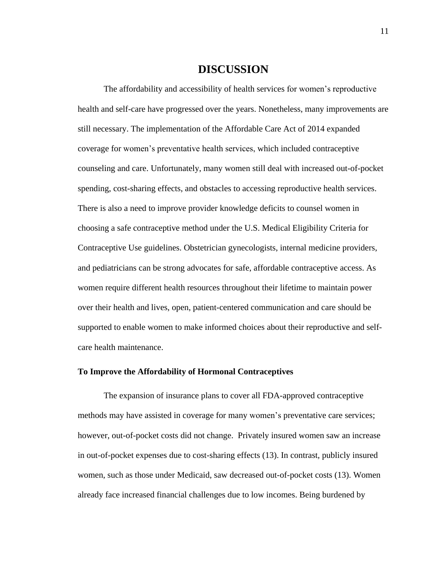## **DISCUSSION**

The affordability and accessibility of health services for women's reproductive health and self-care have progressed over the years. Nonetheless, many improvements are still necessary. The implementation of the Affordable Care Act of 2014 expanded coverage for women's preventative health services, which included contraceptive counseling and care. Unfortunately, many women still deal with increased out-of-pocket spending, cost-sharing effects, and obstacles to accessing reproductive health services. There is also a need to improve provider knowledge deficits to counsel women in choosing a safe contraceptive method under the U.S. Medical Eligibility Criteria for Contraceptive Use guidelines. Obstetrician gynecologists, internal medicine providers, and pediatricians can be strong advocates for safe, affordable contraceptive access. As women require different health resources throughout their lifetime to maintain power over their health and lives, open, patient-centered communication and care should be supported to enable women to make informed choices about their reproductive and selfcare health maintenance.

#### **To Improve the Affordability of Hormonal Contraceptives**

The expansion of insurance plans to cover all FDA-approved contraceptive methods may have assisted in coverage for many women's preventative care services; however, out-of-pocket costs did not change. Privately insured women saw an increase in out-of-pocket expenses due to cost-sharing effects (13). In contrast, publicly insured women, such as those under Medicaid, saw decreased out-of-pocket costs (13). Women already face increased financial challenges due to low incomes. Being burdened by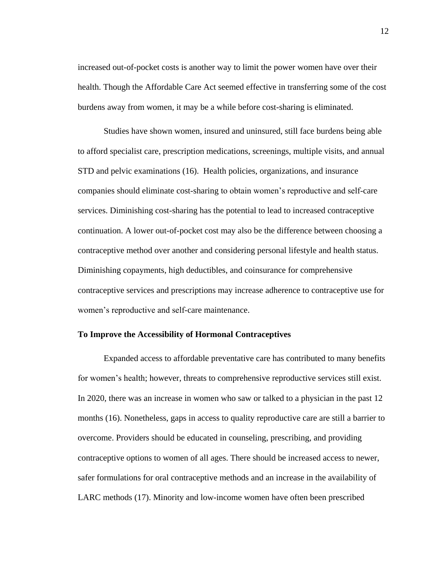increased out-of-pocket costs is another way to limit the power women have over their health. Though the Affordable Care Act seemed effective in transferring some of the cost burdens away from women, it may be a while before cost-sharing is eliminated.

Studies have shown women, insured and uninsured, still face burdens being able to afford specialist care, prescription medications, screenings, multiple visits, and annual STD and pelvic examinations (16). Health policies, organizations, and insurance companies should eliminate cost-sharing to obtain women's reproductive and self-care services. Diminishing cost-sharing has the potential to lead to increased contraceptive continuation. A lower out-of-pocket cost may also be the difference between choosing a contraceptive method over another and considering personal lifestyle and health status. Diminishing copayments, high deductibles, and coinsurance for comprehensive contraceptive services and prescriptions may increase adherence to contraceptive use for women's reproductive and self-care maintenance.

#### **To Improve the Accessibility of Hormonal Contraceptives**

Expanded access to affordable preventative care has contributed to many benefits for women's health; however, threats to comprehensive reproductive services still exist. In 2020, there was an increase in women who saw or talked to a physician in the past 12 months (16). Nonetheless, gaps in access to quality reproductive care are still a barrier to overcome. Providers should be educated in counseling, prescribing, and providing contraceptive options to women of all ages. There should be increased access to newer, safer formulations for oral contraceptive methods and an increase in the availability of LARC methods (17). Minority and low-income women have often been prescribed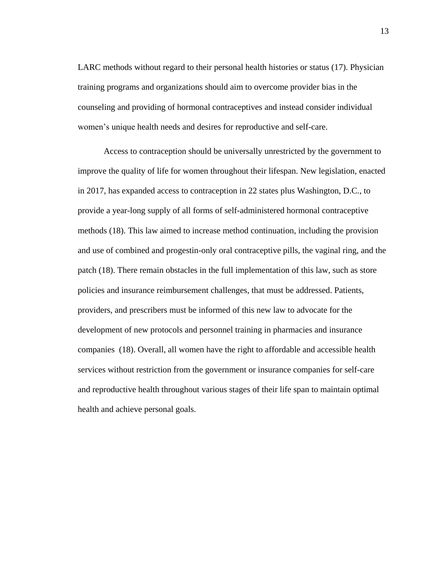LARC methods without regard to their personal health histories or status (17). Physician training programs and organizations should aim to overcome provider bias in the counseling and providing of hormonal contraceptives and instead consider individual women's unique health needs and desires for reproductive and self-care.

Access to contraception should be universally unrestricted by the government to improve the quality of life for women throughout their lifespan. New legislation, enacted in 2017, has expanded access to contraception in 22 states plus Washington, D.C., to provide a year-long supply of all forms of self-administered hormonal contraceptive methods (18). This law aimed to increase method continuation, including the provision and use of combined and progestin-only oral contraceptive pills, the vaginal ring, and the patch (18). There remain obstacles in the full implementation of this law, such as store policies and insurance reimbursement challenges, that must be addressed. Patients, providers, and prescribers must be informed of this new law to advocate for the development of new protocols and personnel training in pharmacies and insurance companies (18). Overall, all women have the right to affordable and accessible health services without restriction from the government or insurance companies for self-care and reproductive health throughout various stages of their life span to maintain optimal health and achieve personal goals.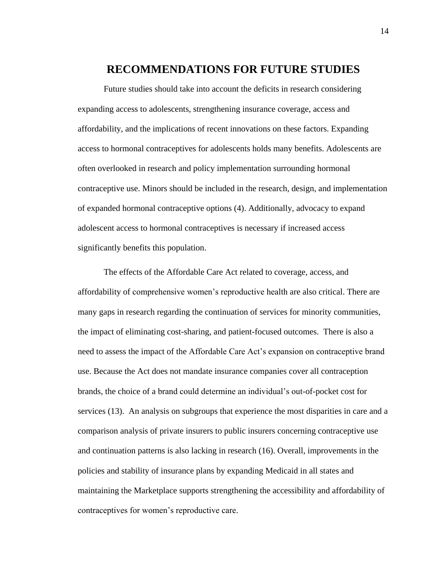## **RECOMMENDATIONS FOR FUTURE STUDIES**

Future studies should take into account the deficits in research considering expanding access to adolescents, strengthening insurance coverage, access and affordability, and the implications of recent innovations on these factors. Expanding access to hormonal contraceptives for adolescents holds many benefits. Adolescents are often overlooked in research and policy implementation surrounding hormonal contraceptive use. Minors should be included in the research, design, and implementation of expanded hormonal contraceptive options (4). Additionally, advocacy to expand adolescent access to hormonal contraceptives is necessary if increased access significantly benefits this population.

The effects of the Affordable Care Act related to coverage, access, and affordability of comprehensive women's reproductive health are also critical. There are many gaps in research regarding the continuation of services for minority communities, the impact of eliminating cost-sharing, and patient-focused outcomes. There is also a need to assess the impact of the Affordable Care Act's expansion on contraceptive brand use. Because the Act does not mandate insurance companies cover all contraception brands, the choice of a brand could determine an individual's out-of-pocket cost for services (13). An analysis on subgroups that experience the most disparities in care and a comparison analysis of private insurers to public insurers concerning contraceptive use and continuation patterns is also lacking in research (16). Overall, improvements in the policies and stability of insurance plans by expanding Medicaid in all states and maintaining the Marketplace supports strengthening the accessibility and affordability of contraceptives for women's reproductive care.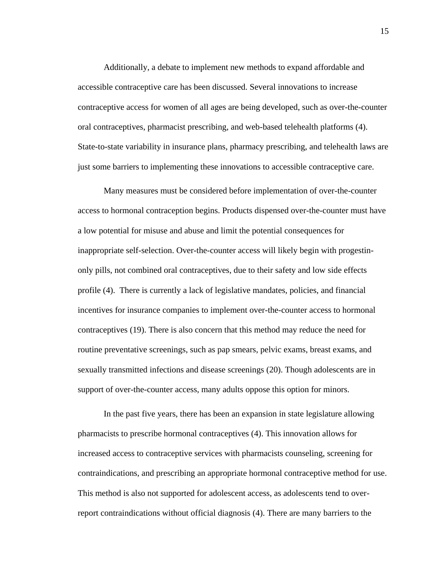Additionally, a debate to implement new methods to expand affordable and accessible contraceptive care has been discussed. Several innovations to increase contraceptive access for women of all ages are being developed, such as over-the-counter oral contraceptives, pharmacist prescribing, and web-based telehealth platforms (4). State-to-state variability in insurance plans, pharmacy prescribing, and telehealth laws are just some barriers to implementing these innovations to accessible contraceptive care.

Many measures must be considered before implementation of over-the-counter access to hormonal contraception begins. Products dispensed over-the-counter must have a low potential for misuse and abuse and limit the potential consequences for inappropriate self-selection. Over-the-counter access will likely begin with progestinonly pills, not combined oral contraceptives, due to their safety and low side effects profile (4). There is currently a lack of legislative mandates, policies, and financial incentives for insurance companies to implement over-the-counter access to hormonal contraceptives (19). There is also concern that this method may reduce the need for routine preventative screenings, such as pap smears, pelvic exams, breast exams, and sexually transmitted infections and disease screenings (20). Though adolescents are in support of over-the-counter access, many adults oppose this option for minors.

In the past five years, there has been an expansion in state legislature allowing pharmacists to prescribe hormonal contraceptives (4). This innovation allows for increased access to contraceptive services with pharmacists counseling, screening for contraindications, and prescribing an appropriate hormonal contraceptive method for use. This method is also not supported for adolescent access, as adolescents tend to overreport contraindications without official diagnosis (4). There are many barriers to the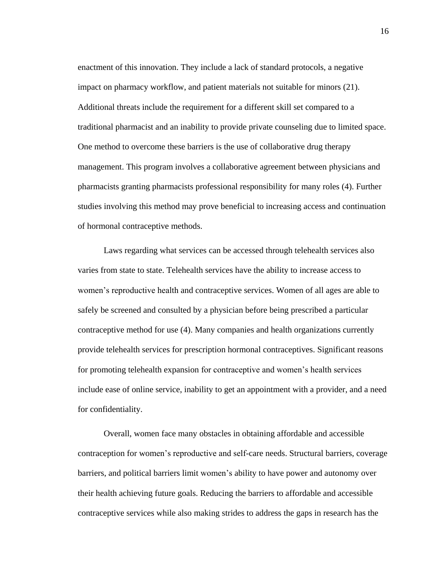enactment of this innovation. They include a lack of standard protocols, a negative impact on pharmacy workflow, and patient materials not suitable for minors (21). Additional threats include the requirement for a different skill set compared to a traditional pharmacist and an inability to provide private counseling due to limited space. One method to overcome these barriers is the use of collaborative drug therapy management. This program involves a collaborative agreement between physicians and pharmacists granting pharmacists professional responsibility for many roles (4). Further studies involving this method may prove beneficial to increasing access and continuation of hormonal contraceptive methods.

Laws regarding what services can be accessed through telehealth services also varies from state to state. Telehealth services have the ability to increase access to women's reproductive health and contraceptive services. Women of all ages are able to safely be screened and consulted by a physician before being prescribed a particular contraceptive method for use (4). Many companies and health organizations currently provide telehealth services for prescription hormonal contraceptives. Significant reasons for promoting telehealth expansion for contraceptive and women's health services include ease of online service, inability to get an appointment with a provider, and a need for confidentiality.

Overall, women face many obstacles in obtaining affordable and accessible contraception for women's reproductive and self-care needs. Structural barriers, coverage barriers, and political barriers limit women's ability to have power and autonomy over their health achieving future goals. Reducing the barriers to affordable and accessible contraceptive services while also making strides to address the gaps in research has the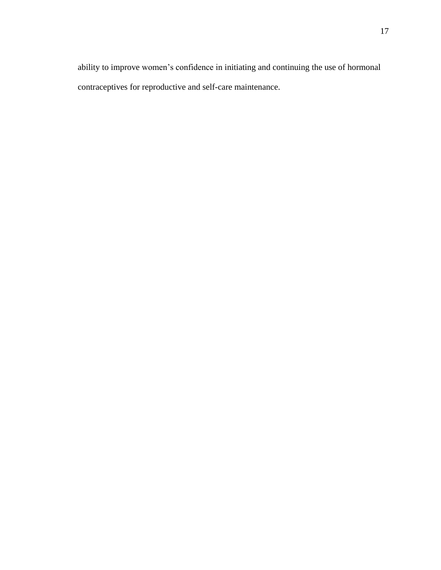ability to improve women's confidence in initiating and continuing the use of hormonal contraceptives for reproductive and self-care maintenance.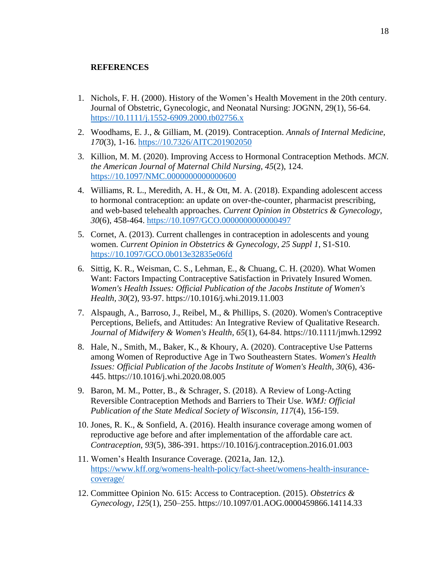### **REFERENCES**

- 1. Nichols, F. H. (2000). History of the Women's Health Movement in the 20th century. Journal of Obstetric, Gynecologic, and Neonatal Nursing: JOGNN, 29(1), 56-64. [https://10.1111/j.1552-6909.2000.tb02756.x](https://10.0.4.87/j.1552-6909.2000.tb02756.x)
- 2. Woodhams, E. J., & Gilliam, M. (2019). Contraception. *Annals of Internal Medicine, 170*(3), 1-16. [https://10.7326/AITC201902050](https://10.0.28.158/AITC201902050)
- 3. Killion, M. M. (2020). Improving Access to Hormonal Contraception Methods. *MCN. the American Journal of Maternal Child Nursing, 45*(2), 124. [https://10.1097/NMC.0000000000000600](https://10.0.4.73/NMC.0000000000000600)
- 4. Williams, R. L., Meredith, A. H., & Ott, M. A. (2018). Expanding adolescent access to hormonal contraception: an update on over-the-counter, pharmacist prescribing, and web-based telehealth approaches. *Current Opinion in Obstetrics & Gynecology, 30*(6), 458-464. [https://10.1097/GCO.0000000000000497](https://10.0.4.73/GCO.0000000000000497)
- 5. Cornet, A. (2013). Current challenges in contraception in adolescents and young women. *Current Opinion in Obstetrics & Gynecology, 25 Suppl 1*, S1-S10. [https://10.1097/GCO.0b013e32835e06fd](https://10.0.4.73/GCO.0b013e32835e06fd)
- 6. Sittig, K. R., Weisman, C. S., Lehman, E., & Chuang, C. H. (2020). What Women Want: Factors Impacting Contraceptive Satisfaction in Privately Insured Women. *Women's Health Issues: Official Publication of the Jacobs Institute of Women's Health, 30*(2), 93-97. https://10.1016/j.whi.2019.11.003
- 7. Alspaugh, A., Barroso, J., Reibel, M., & Phillips, S. (2020). Women's Contraceptive Perceptions, Beliefs, and Attitudes: An Integrative Review of Qualitative Research. *Journal of Midwifery & Women's Health, 65*(1), 64-84. https://10.1111/jmwh.12992
- 8. Hale, N., Smith, M., Baker, K., & Khoury, A. (2020). Contraceptive Use Patterns among Women of Reproductive Age in Two Southeastern States. *Women's Health Issues: Official Publication of the Jacobs Institute of Women's Health, 30*(6), 436- 445. https://10.1016/j.whi.2020.08.005
- 9. Baron, M. M., Potter, B., & Schrager, S. (2018). A Review of Long-Acting Reversible Contraception Methods and Barriers to Their Use. *WMJ: Official Publication of the State Medical Society of Wisconsin, 117*(4), 156-159.
- 10. Jones, R. K., & Sonfield, A. (2016). Health insurance coverage among women of reproductive age before and after implementation of the affordable care act. *Contraception, 93*(5), 386-391. https://10.1016/j.contraception.2016.01.003
- 11. Women's Health Insurance Coverage. (2021a, Jan. 12,). [https://www.kff.org/womens-health-policy/fact-sheet/womens-health-insurance](https://www.kff.org/womens-health-policy/fact-sheet/womens-health-insurance-coverage/)[coverage/](https://www.kff.org/womens-health-policy/fact-sheet/womens-health-insurance-coverage/)
- 12. Committee Opinion No. 615: Access to Contraception. (2015). *Obstetrics & Gynecology, 125*(1), 250–255. https://10.1097/01.AOG.0000459866.14114.33